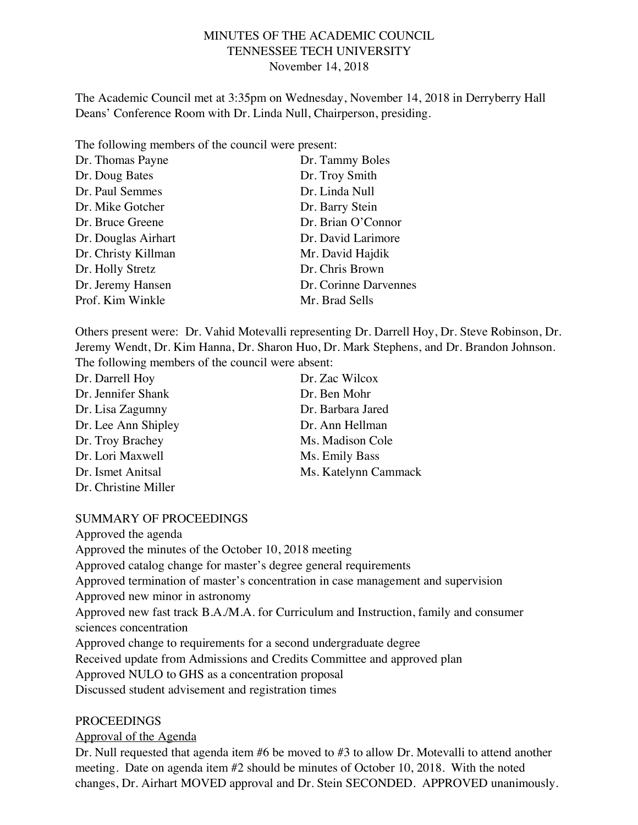### MINUTES OF THE ACADEMIC COUNCIL TENNESSEE TECH UNIVERSITY November 14, 2018

The Academic Council met at 3:35pm on Wednesday, November 14, 2018 in Derryberry Hall Deans' Conference Room with Dr. Linda Null, Chairperson, presiding.

The following members of the council were present:

| Dr. Thomas Payne    | Dr. Tammy Boles       |
|---------------------|-----------------------|
| Dr. Doug Bates      | Dr. Troy Smith        |
| Dr. Paul Semmes     | Dr. Linda Null        |
| Dr. Mike Gotcher    | Dr. Barry Stein       |
| Dr. Bruce Greene    | Dr. Brian O'Connor    |
| Dr. Douglas Airhart | Dr. David Larimore    |
| Dr. Christy Killman | Mr. David Hajdik      |
| Dr. Holly Stretz    | Dr. Chris Brown       |
| Dr. Jeremy Hansen   | Dr. Corinne Darvennes |
| Prof. Kim Winkle    | Mr. Brad Sells        |

Others present were: Dr. Vahid Motevalli representing Dr. Darrell Hoy, Dr. Steve Robinson, Dr. Jeremy Wendt, Dr. Kim Hanna, Dr. Sharon Huo, Dr. Mark Stephens, and Dr. Brandon Johnson. The following members of the council were absent:

| Dr. Darrell Hoy      | Dr. Zac Wilcox       |
|----------------------|----------------------|
| Dr. Jennifer Shank   | Dr. Ben Mohr         |
| Dr. Lisa Zagumny     | Dr. Barbara Jared    |
| Dr. Lee Ann Shipley  | Dr. Ann Hellman      |
| Dr. Troy Brachey     | Ms. Madison Cole     |
| Dr. Lori Maxwell     | Ms. Emily Bass       |
| Dr. Ismet Anitsal    | Ms. Katelynn Cammack |
| Dr. Christine Miller |                      |

#### SUMMARY OF PROCEEDINGS

Approved the agenda Approved the minutes of the October 10, 2018 meeting Approved catalog change for master's degree general requirements Approved termination of master's concentration in case management and supervision Approved new minor in astronomy Approved new fast track B.A./M.A. for Curriculum and Instruction, family and consumer sciences concentration Approved change to requirements for a second undergraduate degree Received update from Admissions and Credits Committee and approved plan Approved NULO to GHS as a concentration proposal Discussed student advisement and registration times

#### PROCEEDINGS

#### Approval of the Agenda

Dr. Null requested that agenda item #6 be moved to #3 to allow Dr. Motevalli to attend another meeting. Date on agenda item #2 should be minutes of October 10, 2018. With the noted changes, Dr. Airhart MOVED approval and Dr. Stein SECONDED. APPROVED unanimously.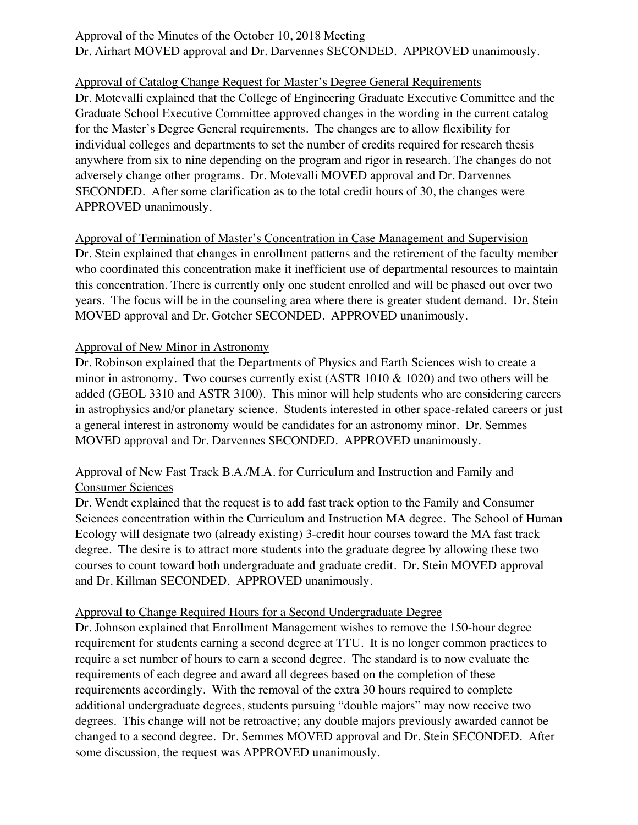# Approval of the Minutes of the October 10, 2018 Meeting

Dr. Airhart MOVED approval and Dr. Darvennes SECONDED. APPROVED unanimously.

# Approval of Catalog Change Request for Master's Degree General Requirements

Dr. Motevalli explained that the College of Engineering Graduate Executive Committee and the Graduate School Executive Committee approved changes in the wording in the current catalog for the Master's Degree General requirements. The changes are to allow flexibility for individual colleges and departments to set the number of credits required for research thesis anywhere from six to nine depending on the program and rigor in research. The changes do not adversely change other programs. Dr. Motevalli MOVED approval and Dr. Darvennes SECONDED. After some clarification as to the total credit hours of 30, the changes were APPROVED unanimously.

Approval of Termination of Master's Concentration in Case Management and Supervision Dr. Stein explained that changes in enrollment patterns and the retirement of the faculty member who coordinated this concentration make it inefficient use of departmental resources to maintain this concentration. There is currently only one student enrolled and will be phased out over two years. The focus will be in the counseling area where there is greater student demand. Dr. Stein MOVED approval and Dr. Gotcher SECONDED. APPROVED unanimously.

## Approval of New Minor in Astronomy

Dr. Robinson explained that the Departments of Physics and Earth Sciences wish to create a minor in astronomy. Two courses currently exist (ASTR 1010 & 1020) and two others will be added (GEOL 3310 and ASTR 3100). This minor will help students who are considering careers in astrophysics and/or planetary science. Students interested in other space-related careers or just a general interest in astronomy would be candidates for an astronomy minor. Dr. Semmes MOVED approval and Dr. Darvennes SECONDED. APPROVED unanimously.

## Approval of New Fast Track B.A./M.A. for Curriculum and Instruction and Family and Consumer Sciences

Dr. Wendt explained that the request is to add fast track option to the Family and Consumer Sciences concentration within the Curriculum and Instruction MA degree. The School of Human Ecology will designate two (already existing) 3-credit hour courses toward the MA fast track degree. The desire is to attract more students into the graduate degree by allowing these two courses to count toward both undergraduate and graduate credit. Dr. Stein MOVED approval and Dr. Killman SECONDED. APPROVED unanimously.

## Approval to Change Required Hours for a Second Undergraduate Degree

Dr. Johnson explained that Enrollment Management wishes to remove the 150-hour degree requirement for students earning a second degree at TTU. It is no longer common practices to require a set number of hours to earn a second degree. The standard is to now evaluate the requirements of each degree and award all degrees based on the completion of these requirements accordingly. With the removal of the extra 30 hours required to complete additional undergraduate degrees, students pursuing "double majors" may now receive two degrees. This change will not be retroactive; any double majors previously awarded cannot be changed to a second degree. Dr. Semmes MOVED approval and Dr. Stein SECONDED. After some discussion, the request was APPROVED unanimously.